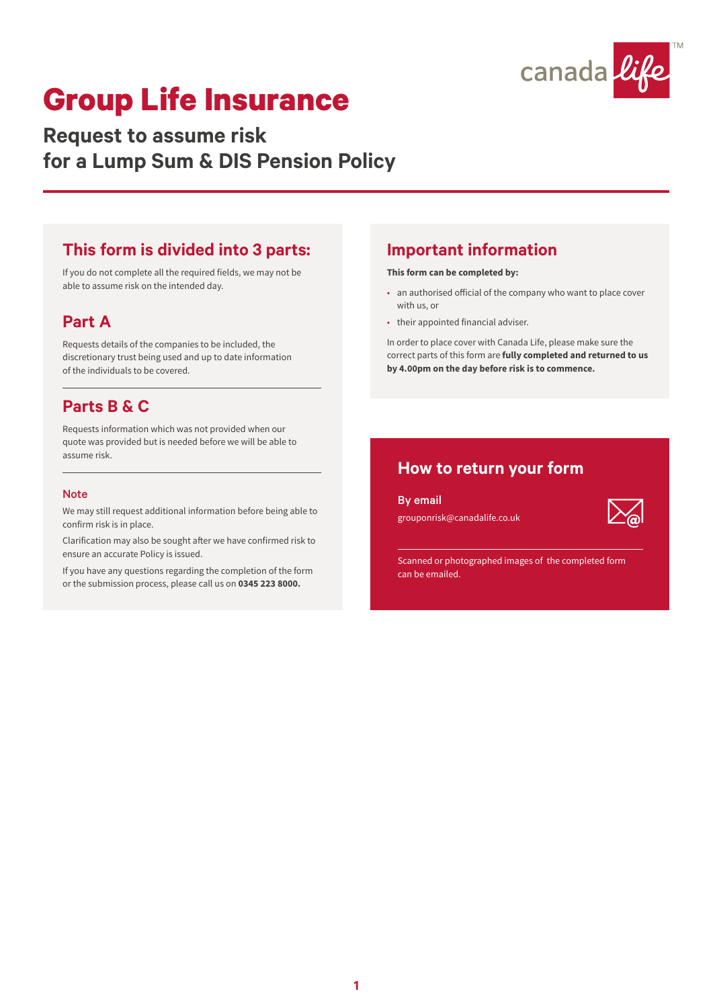

**Request to assume risk for a Lump Sum & DIS Pension Policy**

#### **This form is divided into 3 parts:**

If you do not complete all the required fields, we may not be able to assume risk on the intended day.

#### **Part A**

Requests details of the companies to be included, the discretionary trust being used and up to date information of the individuals to be covered.

### **Parts B & C**

Requests information which was not provided when our quote was provided but is needed before we will be able to assume risk.

#### **Note**

We may still request additional information before being able to confirm risk is in place.

Clarification may also be sought after we have confirmed risk to ensure an accurate Policy is issued.

If you have any questions regarding the completion of the form or the submission process, please call us on **0345 223 8000.**

### **Important information**

#### **This form can be completed by:**

- an authorised official of the company who want to place cover with us, or
- their appointed financial adviser.

In order to place cover with Canada Life, please make sure the correct parts of this form are **fully completed and returned to us by 4.00pm on the day before risk is to commence.**

### **How to return your form**

By email grouponrisk@canadalife.co.uk



Scanned or photographed images of the completed form can be emailed.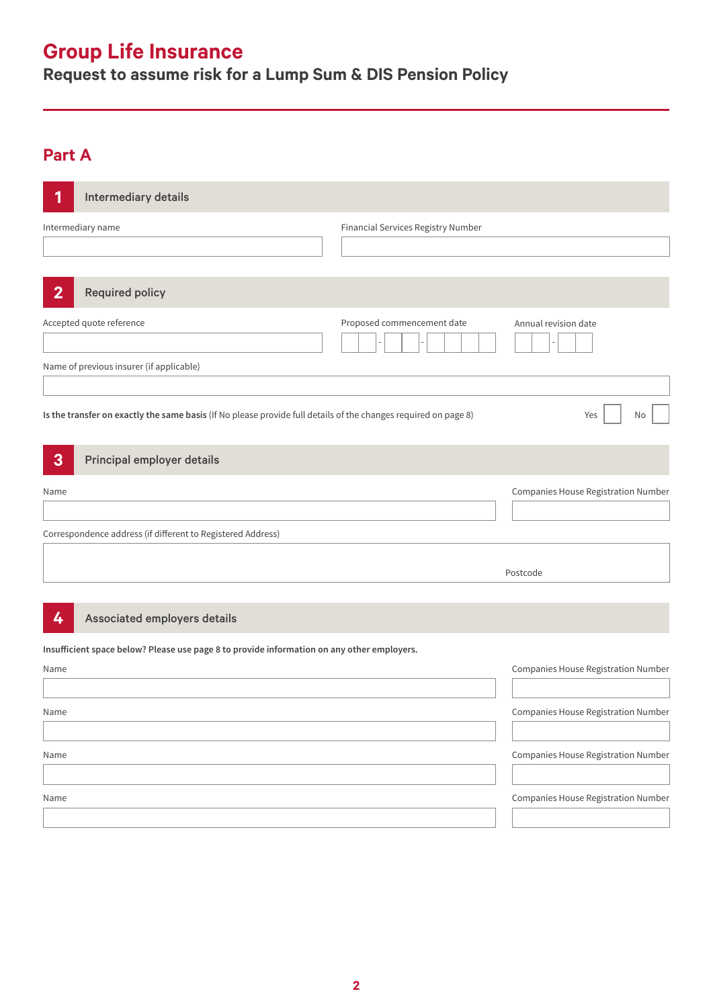**Request to assume risk for a Lump Sum & DIS Pension Policy**

# **Part A**

| 1              | Intermediary details                                                                                            |                                    |                                            |
|----------------|-----------------------------------------------------------------------------------------------------------------|------------------------------------|--------------------------------------------|
|                | Intermediary name                                                                                               | Financial Services Registry Number |                                            |
| $\overline{2}$ | <b>Required policy</b>                                                                                          |                                    |                                            |
|                | Accepted quote reference                                                                                        | Proposed commencement date         | Annual revision date                       |
|                | Name of previous insurer (if applicable)                                                                        |                                    |                                            |
|                | Is the transfer on exactly the same basis (If No please provide full details of the changes required on page 8) |                                    | Yes<br>No                                  |
| $\mathbf{3}$   | Principal employer details                                                                                      |                                    |                                            |
| Name           |                                                                                                                 |                                    | Companies House Registration Number        |
|                | Correspondence address (if different to Registered Address)                                                     |                                    |                                            |
|                |                                                                                                                 |                                    | Postcode                                   |
| 4              | Associated employers details                                                                                    |                                    |                                            |
|                | Insufficient space below? Please use page 8 to provide information on any other employers.                      |                                    |                                            |
| Name           |                                                                                                                 |                                    | Companies House Registration Number        |
| Name           |                                                                                                                 |                                    | Companies House Registration Number        |
| Name           |                                                                                                                 |                                    | <b>Companies House Registration Number</b> |
| Name           |                                                                                                                 |                                    | Companies House Registration Number        |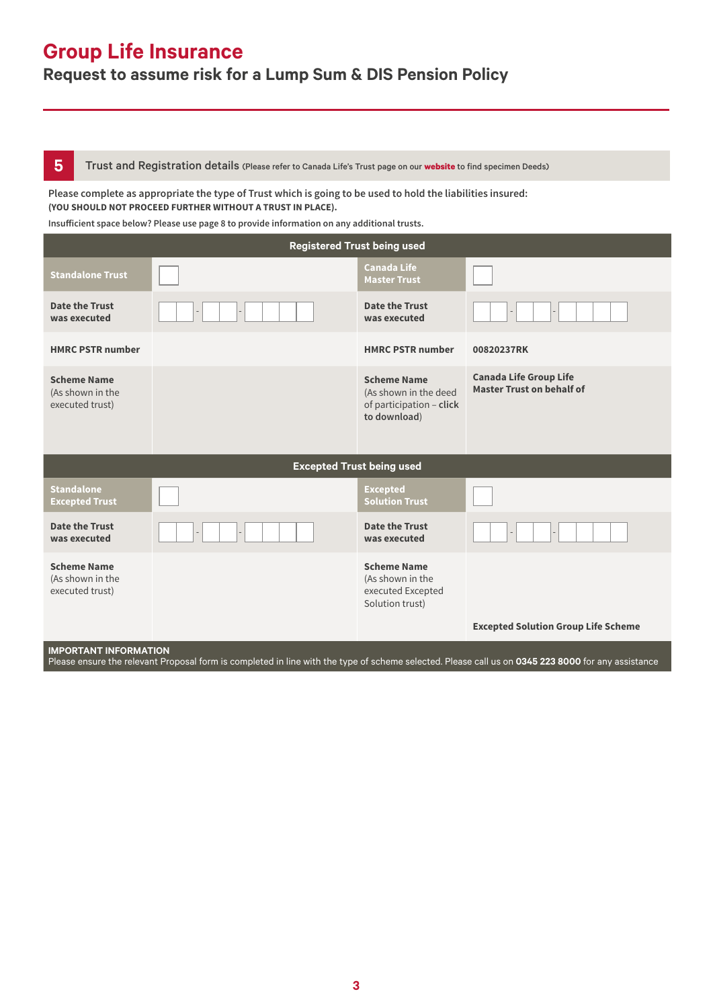### **Request to assume risk for a Lump Sum & DIS Pension Policy**

**5** Trust and Registration details (Please refer to Canada Life's Trust page on our [website](https://www.canadalife.co.uk/group-insurance/group-life-assurance/trusts) to find specimen Deeds)

#### **Please complete as appropriate the type of Trust which is going to be used to hold the liabilities insured: (YOU SHOULD NOT PROCEED FURTHER WITHOUT A TRUST IN PLACE).**

**Insufficient space below? Please use page 8 to provide information on any additional trusts.**

| <b>Registered Trust being used</b>                        |  |                                                                                         |                                                                   |  |
|-----------------------------------------------------------|--|-----------------------------------------------------------------------------------------|-------------------------------------------------------------------|--|
| <b>Standalone Trust</b>                                   |  | <b>Canada Life</b><br><b>Master Trust</b>                                               |                                                                   |  |
| Date the Trust<br>was executed                            |  | Date the Trust<br>was executed                                                          |                                                                   |  |
| <b>HMRC PSTR number</b>                                   |  | <b>HMRC PSTR number</b>                                                                 | 00820237RK                                                        |  |
| <b>Scheme Name</b><br>(As shown in the<br>executed trust) |  | <b>Scheme Name</b><br>(As shown in the deed<br>of participation - click<br>to download) | <b>Canada Life Group Life</b><br><b>Master Trust on behalf of</b> |  |
| <b>Excepted Trust being used</b>                          |  |                                                                                         |                                                                   |  |
| <b>Standalone</b><br><b>Excepted Trust</b>                |  | <b>Excepted</b><br><b>Solution Trust</b>                                                |                                                                   |  |
| <b>Date the Trust</b><br>was executed                     |  | <b>Date the Trust</b><br>was executed                                                   |                                                                   |  |
| <b>Scheme Name</b><br>(As shown in the<br>executed trust) |  | <b>Scheme Name</b><br>(As shown in the<br>executed Excepted<br>Solution trust)          | <b>Excepted Solution Group Life Scheme</b>                        |  |

#### **IMPORTANT INFORMATION**

Please ensure the relevant Proposal form is completed in line with the type of scheme selected. Please call us on **0345 223 8000** for any assistance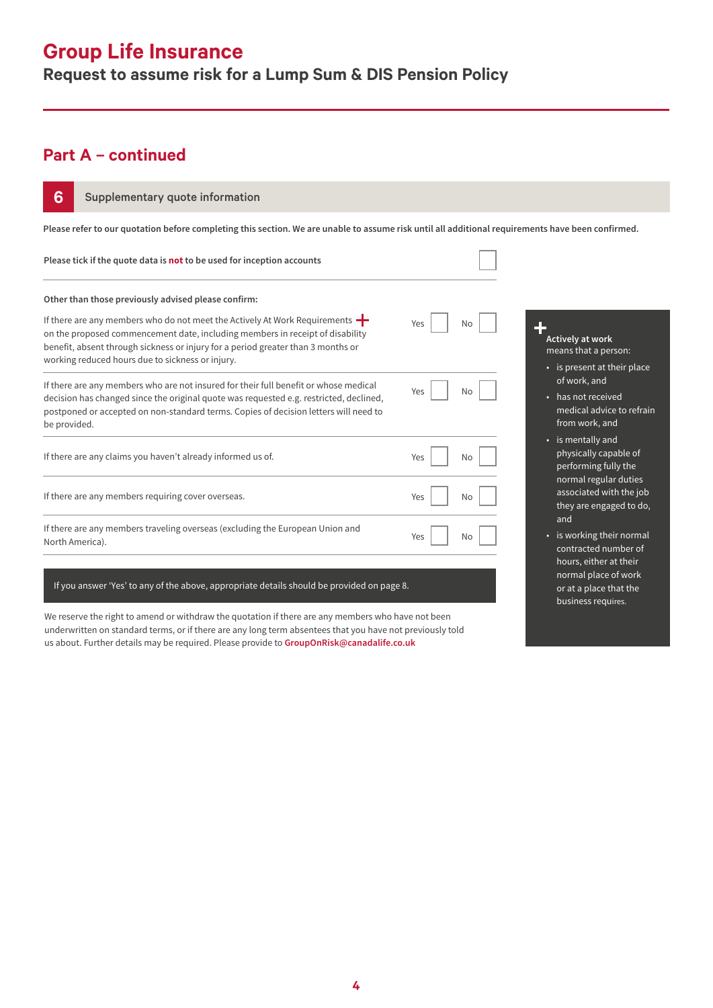### **Request to assume risk for a Lump Sum & DIS Pension Policy**

### **Part A – continued**

| 6<br>Supplementary quote information                                                                                                                                                                                                                                                                               |           |                                                                                    |  |  |
|--------------------------------------------------------------------------------------------------------------------------------------------------------------------------------------------------------------------------------------------------------------------------------------------------------------------|-----------|------------------------------------------------------------------------------------|--|--|
| Please refer to our quotation before completing this section. We are unable to assume risk until all additional requirements have been confirmed.                                                                                                                                                                  |           |                                                                                    |  |  |
| Please tick if the quote data is not to be used for inception accounts                                                                                                                                                                                                                                             |           |                                                                                    |  |  |
| Other than those previously advised please confirm:                                                                                                                                                                                                                                                                |           |                                                                                    |  |  |
| If there are any members who do not meet the Actively At Work Requirements $\blacksquare$<br>on the proposed commencement date, including members in receipt of disability<br>benefit, absent through sickness or injury for a period greater than 3 months or<br>working reduced hours due to sickness or injury. | Yes<br>No | 4<br>Actively at work<br>means that a person:<br>• is present at their place       |  |  |
| If there are any members who are not insured for their full benefit or whose medical<br>decision has changed since the original quote was requested e.g. restricted, declined,<br>postponed or accepted on non-standard terms. Copies of decision letters will need to<br>be provided.                             | Yes<br>No | of work, and<br>• has not received<br>medical advice to refrain<br>from work, and  |  |  |
| If there are any claims you haven't already informed us of.                                                                                                                                                                                                                                                        | Yes<br>No | • is mentally and<br>physically capable of<br>performing fully the                 |  |  |
| If there are any members requiring cover overseas.                                                                                                                                                                                                                                                                 | Yes<br>Νo | normal regular duties<br>associated with the job<br>they are engaged to do,<br>and |  |  |
| If there are any members traveling overseas (excluding the European Union and<br>North America).                                                                                                                                                                                                                   | Yes<br>No | • is working their normal<br>contracted number of<br>hours, either at their        |  |  |
| If you answer 'Yes' to any of the above, appropriate details should be provided on page 8.                                                                                                                                                                                                                         |           | normal place of work<br>or at a place that the                                     |  |  |

or at a place that the business requires.

We reserve the right to amend or withdraw the quotation if there are any members who have not been underwritten on standard terms, or if there are any long term absentees that you have not previously told us about. Further details may be required. Please provide to **GroupOnRisk@canadalife.co.uk**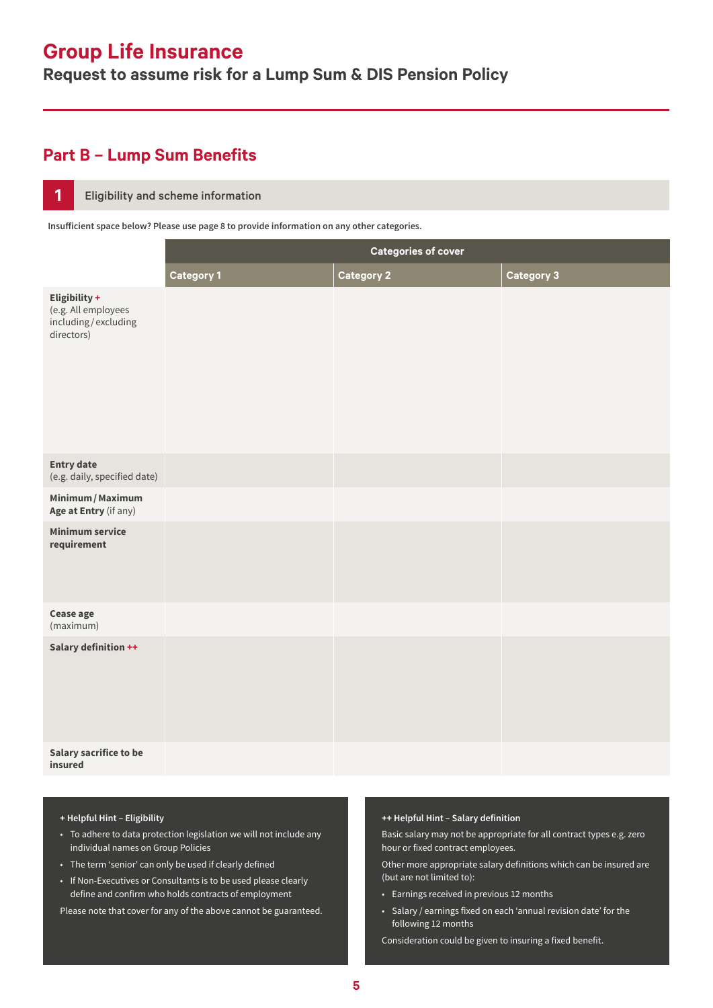**Request to assume risk for a Lump Sum & DIS Pension Policy**

### **Part B – Lump Sum Benefits**

#### **1** Eligibility and scheme information

**Insufficient space below? Please use page 8 to provide information on any other categories.**

|                                                                           | <b>Categories of cover</b> |                   |                   |
|---------------------------------------------------------------------------|----------------------------|-------------------|-------------------|
|                                                                           | <b>Category 1</b>          | <b>Category 2</b> | <b>Category 3</b> |
| Eligibility +<br>(e.g. All employees<br>including/excluding<br>directors) |                            |                   |                   |
| <b>Entry date</b><br>(e.g. daily, specified date)                         |                            |                   |                   |
| Minimum / Maximum<br>Age at Entry (if any)                                |                            |                   |                   |
| <b>Minimum service</b><br>requirement                                     |                            |                   |                   |
| Cease age<br>(maximum)                                                    |                            |                   |                   |
| Salary definition ++                                                      |                            |                   |                   |
| <b>Salary sacrifice to be</b><br>insured                                  |                            |                   |                   |

#### **+ Helpful Hint – Eligibility**

- To adhere to data protection legislation we will not include any individual names on Group Policies
- The term 'senior' can only be used if clearly defined
- If Non-Executives or Consultants is to be used please clearly define and confirm who holds contracts of employment

Please note that cover for any of the above cannot be guaranteed.

#### **++ Helpful Hint – Salary definition**

Basic salary may not be appropriate for all contract types e.g. zero hour or fixed contract employees.

Other more appropriate salary definitions which can be insured are (but are not limited to):

- Earnings received in previous 12 months
- Salary / earnings fixed on each 'annual revision date' for the following 12 months

Consideration could be given to insuring a fixed benefit.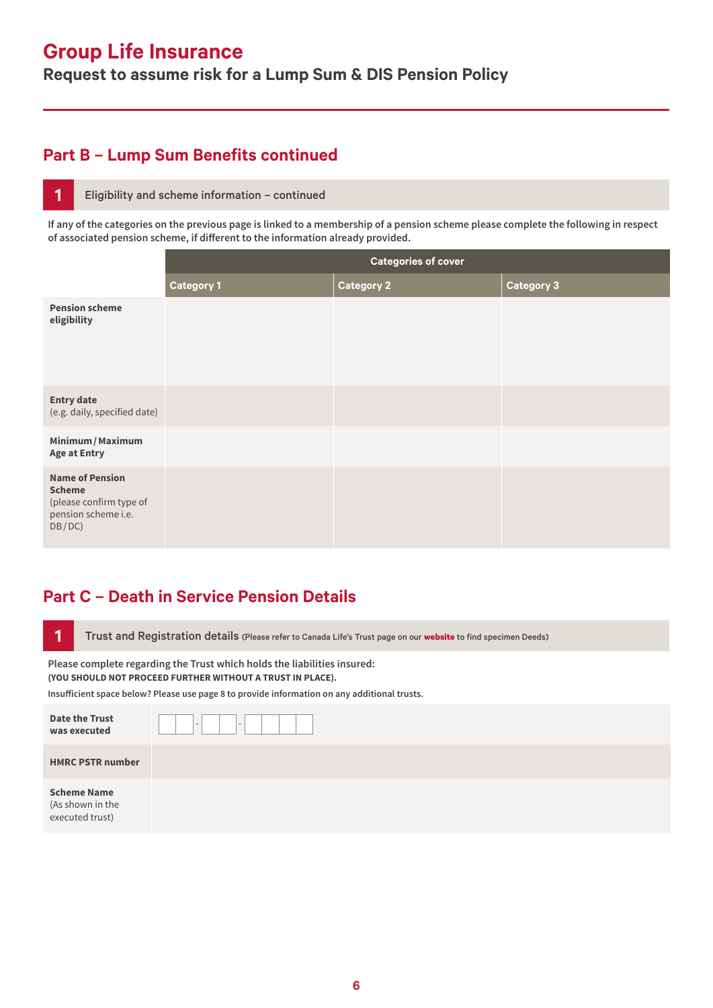**Request to assume risk for a Lump Sum & DIS Pension Policy**

### **Part B – Lump Sum Benefits continued**

#### **1** Eligibility and scheme information – continued

**If any of the categories on the previous page is linked to a membership of a pension scheme please complete the following in respect of associated pension scheme, if different to the information already provided.**

|                                                                                                     | <b>Categories of cover</b> |                   |            |
|-----------------------------------------------------------------------------------------------------|----------------------------|-------------------|------------|
|                                                                                                     | <b>Category 1</b>          | <b>Category 2</b> | Category 3 |
| <b>Pension scheme</b><br>eligibility                                                                |                            |                   |            |
| <b>Entry date</b><br>(e.g. daily, specified date)                                                   |                            |                   |            |
| Minimum / Maximum<br><b>Age at Entry</b>                                                            |                            |                   |            |
| <b>Name of Pension</b><br><b>Scheme</b><br>(please confirm type of<br>pension scheme i.e.<br>DB/DC) |                            |                   |            |

### **Part C – Death in Service Pension Details**

**1** Trust and Registration details (Please refer to Canada Life's Trust page on our [website](https://www.canadalife.co.uk/group-insurance/group-life-assurance/trusts) to find specimen Deeds)

**Please complete regarding the Trust which holds the liabilities insured: (YOU SHOULD NOT PROCEED FURTHER WITHOUT A TRUST IN PLACE).**

**Insufficient space below? Please use page 8 to provide information on any additional trusts.**

| <b>Date the Trust</b><br>was executed                     | $\overline{\phantom{0}}$<br>$\overline{\phantom{0}}$ |
|-----------------------------------------------------------|------------------------------------------------------|
| <b>HMRC PSTR number</b>                                   |                                                      |
| <b>Scheme Name</b><br>(As shown in the<br>executed trust) |                                                      |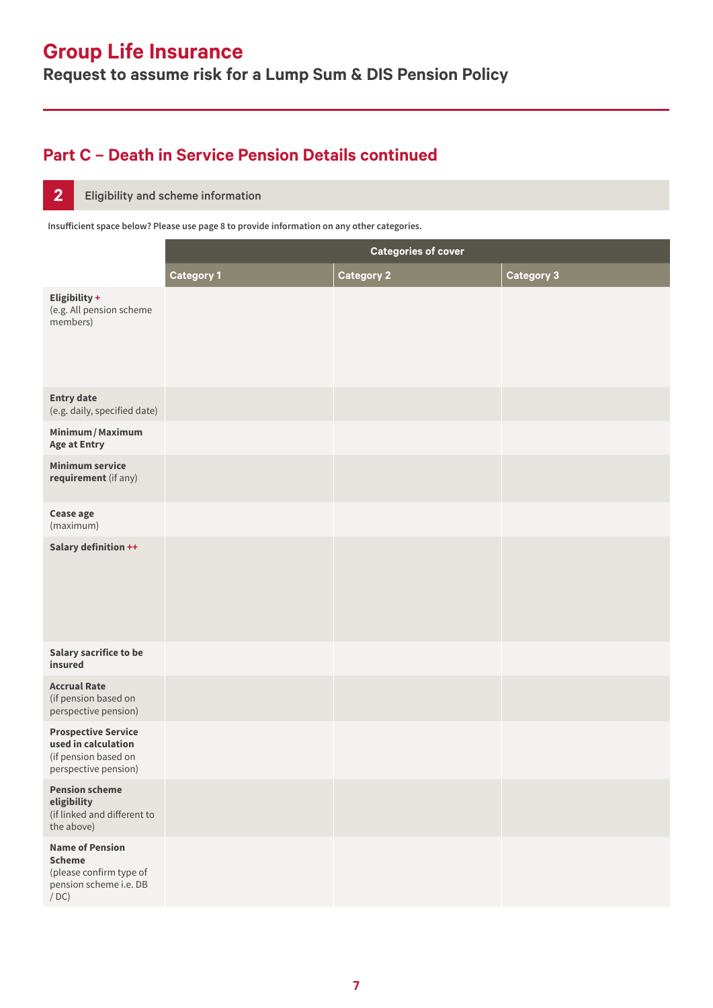**Request to assume risk for a Lump Sum & DIS Pension Policy**

## **Part C – Death in Service Pension Details continued**

#### **2** Eligibility and scheme information

**Insufficient space below? Please use page 8 to provide information on any other categories.**

|                                                                                                      | <b>Categories of cover</b> |                   |                   |
|------------------------------------------------------------------------------------------------------|----------------------------|-------------------|-------------------|
|                                                                                                      | <b>Category 1</b>          | <b>Category 2</b> | <b>Category 3</b> |
| Eligibility +<br>(e.g. All pension scheme<br>members)                                                |                            |                   |                   |
| <b>Entry date</b><br>(e.g. daily, specified date)                                                    |                            |                   |                   |
| Minimum / Maximum<br><b>Age at Entry</b>                                                             |                            |                   |                   |
| <b>Minimum service</b><br>requirement (if any)                                                       |                            |                   |                   |
| Cease age<br>(maximum)                                                                               |                            |                   |                   |
| Salary definition ++                                                                                 |                            |                   |                   |
| <b>Salary sacrifice to be</b><br>insured                                                             |                            |                   |                   |
| <b>Accrual Rate</b><br>(if pension based on<br>perspective pension)                                  |                            |                   |                   |
| <b>Prospective Service</b><br>used in calculation<br>(if pension based on<br>perspective pension)    |                            |                   |                   |
| <b>Pension scheme</b><br>eligibility<br>(if linked and different to<br>the above)                    |                            |                   |                   |
| <b>Name of Pension</b><br><b>Scheme</b><br>(please confirm type of<br>pension scheme i.e. DB<br>/DC) |                            |                   |                   |